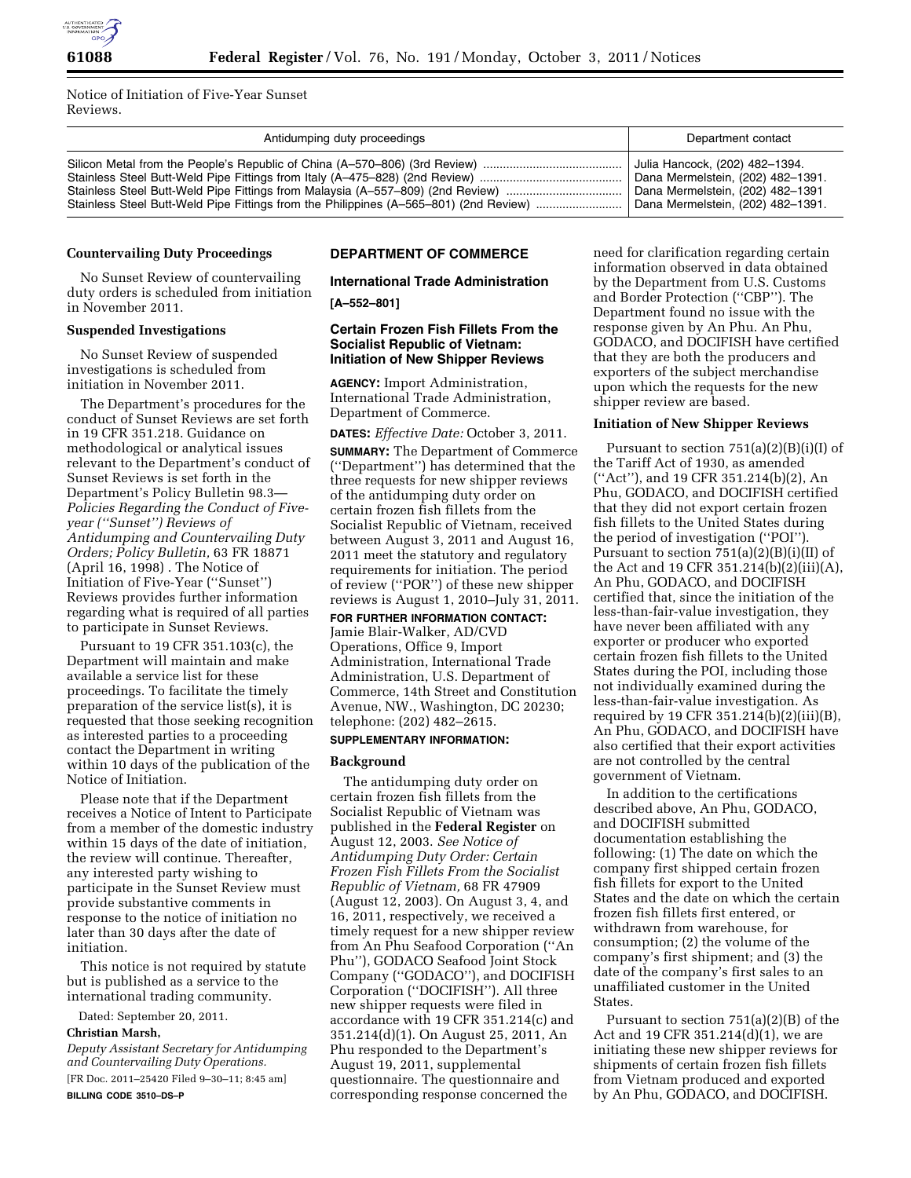

Notice of Initiation of Five-Year Sunset Reviews.

| Antidumping duty proceedings                                                          | Department contact                |
|---------------------------------------------------------------------------------------|-----------------------------------|
|                                                                                       | Julia Hancock, (202) 482-1394.    |
|                                                                                       | Dana Mermelstein, (202) 482-1391. |
| Stainless Steel Butt-Weld Pipe Fittings from Malaysia (A-557-809) (2nd Review)        | Dana Mermelstein, (202) 482-1391  |
| Stainless Steel Butt-Weld Pipe Fittings from the Philippines (A-565-801) (2nd Review) | Dana Mermelstein, (202) 482-1391. |

#### **Countervailing Duty Proceedings**

No Sunset Review of countervailing duty orders is scheduled from initiation in November 2011.

#### **Suspended Investigations**

No Sunset Review of suspended investigations is scheduled from initiation in November 2011.

The Department's procedures for the conduct of Sunset Reviews are set forth in 19 CFR 351.218. Guidance on methodological or analytical issues relevant to the Department's conduct of Sunset Reviews is set forth in the Department's Policy Bulletin 98.3— *Policies Regarding the Conduct of Fiveyear (''Sunset'') Reviews of Antidumping and Countervailing Duty Orders; Policy Bulletin,* 63 FR 18871 (April 16, 1998) . The Notice of Initiation of Five-Year (''Sunset'') Reviews provides further information regarding what is required of all parties to participate in Sunset Reviews.

Pursuant to 19 CFR 351.103(c), the Department will maintain and make available a service list for these proceedings. To facilitate the timely preparation of the service list(s), it is requested that those seeking recognition as interested parties to a proceeding contact the Department in writing within 10 days of the publication of the Notice of Initiation.

Please note that if the Department receives a Notice of Intent to Participate from a member of the domestic industry within 15 days of the date of initiation, the review will continue. Thereafter, any interested party wishing to participate in the Sunset Review must provide substantive comments in response to the notice of initiation no later than 30 days after the date of initiation.

This notice is not required by statute but is published as a service to the international trading community.

Dated: September 20, 2011.

# **Christian Marsh,**

*Deputy Assistant Secretary for Antidumping and Countervailing Duty Operations.*  [FR Doc. 2011–25420 Filed 9–30–11; 8:45 am] **BILLING CODE 3510–DS–P** 

### **DEPARTMENT OF COMMERCE**

# **International Trade Administration**

**[A–552–801]** 

#### **Certain Frozen Fish Fillets From the Socialist Republic of Vietnam: Initiation of New Shipper Reviews**

**AGENCY:** Import Administration, International Trade Administration, Department of Commerce.

**DATES:** *Effective Date:* October 3, 2011. **SUMMARY:** The Department of Commerce (''Department'') has determined that the three requests for new shipper reviews of the antidumping duty order on certain frozen fish fillets from the Socialist Republic of Vietnam, received between August 3, 2011 and August 16, 2011 meet the statutory and regulatory requirements for initiation. The period of review (''POR'') of these new shipper reviews is August 1, 2010–July 31, 2011.

# **FOR FURTHER INFORMATION CONTACT:**

Jamie Blair-Walker, AD/CVD Operations, Office 9, Import Administration, International Trade Administration, U.S. Department of Commerce, 14th Street and Constitution Avenue, NW., Washington, DC 20230; telephone: (202) 482–2615.

# **SUPPLEMENTARY INFORMATION:**

#### **Background**

The antidumping duty order on certain frozen fish fillets from the Socialist Republic of Vietnam was published in the **Federal Register** on August 12, 2003. *See Notice of Antidumping Duty Order: Certain Frozen Fish Fillets From the Socialist Republic of Vietnam,* 68 FR 47909 (August 12, 2003). On August 3, 4, and 16, 2011, respectively, we received a timely request for a new shipper review from An Phu Seafood Corporation (''An Phu''), GODACO Seafood Joint Stock Company (''GODACO''), and DOCIFISH Corporation (''DOCIFISH''). All three new shipper requests were filed in accordance with 19 CFR 351.214(c) and 351.214(d)(1). On August 25, 2011, An Phu responded to the Department's August 19, 2011, supplemental questionnaire. The questionnaire and corresponding response concerned the

need for clarification regarding certain information observed in data obtained by the Department from U.S. Customs and Border Protection (''CBP''). The Department found no issue with the response given by An Phu. An Phu, GODACO, and DOCIFISH have certified that they are both the producers and exporters of the subject merchandise upon which the requests for the new shipper review are based.

#### **Initiation of New Shipper Reviews**

Pursuant to section 751(a)(2)(B)(i)(I) of the Tariff Act of 1930, as amended (''Act''), and 19 CFR 351.214(b)(2), An Phu, GODACO, and DOCIFISH certified that they did not export certain frozen fish fillets to the United States during the period of investigation (''POI''). Pursuant to section 751(a)(2)(B)(i)(II) of the Act and 19 CFR 351.214(b)(2)(iii)(A), An Phu, GODACO, and DOCIFISH certified that, since the initiation of the less-than-fair-value investigation, they have never been affiliated with any exporter or producer who exported certain frozen fish fillets to the United States during the POI, including those not individually examined during the less-than-fair-value investigation. As required by 19 CFR 351.214(b)(2)(iii)(B), An Phu, GODACO, and DOCIFISH have also certified that their export activities are not controlled by the central government of Vietnam.

In addition to the certifications described above, An Phu, GODACO, and DOCIFISH submitted documentation establishing the following: (1) The date on which the company first shipped certain frozen fish fillets for export to the United States and the date on which the certain frozen fish fillets first entered, or withdrawn from warehouse, for consumption; (2) the volume of the company's first shipment; and (3) the date of the company's first sales to an unaffiliated customer in the United **States** 

Pursuant to section 751(a)(2)(B) of the Act and 19 CFR 351.214(d)(1), we are initiating these new shipper reviews for shipments of certain frozen fish fillets from Vietnam produced and exported by An Phu, GODACO, and DOCIFISH.